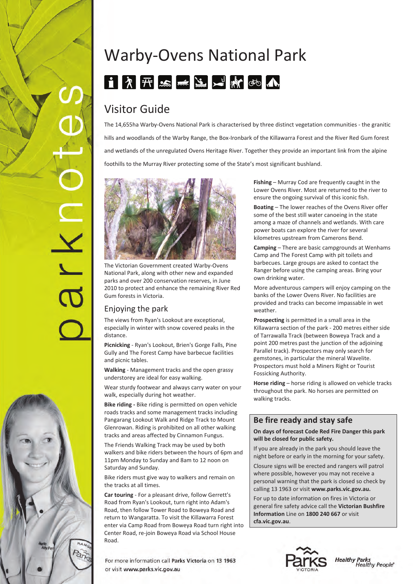# IXI



# Warby‐Ovens National Park 1 A F S J L N M O A

# Visitor Guide

The 14,655ha Warby‐Ovens National Park is characterised by three distinct vegetation communities ‐ the granitic hills and woodlands of the Warby Range, the Box‐Ironbark of the Killawarra Forest and the River Red Gum forest and wetlands of the unregulated Ovens Heritage River. Together they provide an important link from the alpine foothills to the Murray River protecting some of the State's most significant bushland.



The Victorian Government created Warby‐Ovens National Park, along with other new and expanded parks and over 200 conservation reserves, in June 2010 to protect and enhance the remaining River Red Gum forests in Victoria.

# Enjoying the park

The views from Ryan's Lookout are exceptional, especially in winter with snow covered peaks in the distance.

**Picnicking** ‐ Ryan's Lookout, Brien's Gorge Falls, Pine Gully and The Forest Camp have barbecue facilities and picnic tables.

**Walking** ‐ Management tracks and the open grassy understorey are ideal for easy walking.

Wear sturdy footwear and always carry water on your walk, especially during hot weather.

**Bike riding ‐** Bike riding is permitted on open vehicle roads tracks and some management tracks including Pangarang Lookout Walk and Ridge Track to Mount Glenrowan. Riding is prohibited on all other walking tracks and areas affected by Cinnamon Fungus.

The Friends Walking Track may be used by both walkers and bike riders between the hours of 6pm and 11pm Monday to Sunday and 8am to 12 noon on Saturday and Sunday.

Bike riders must give way to walkers and remain on the tracks at all times.

**Car touring** ‐ For a pleasant drive, follow Gerrett's Road from Ryan's Lookout, turn right into Adam's Road, then follow Tower Road to Boweya Road and return to Wangaratta. To visit the Killawarra Forest enter via Camp Road from Boweya Road turn right into Center Road, re‐join Boweya Road via School House Road.

For more information call Parks Victoria on 13 1963 or visit www.parks.vic.gov.au

**Fishing** – Murray Cod are frequently caught in the Lower Ovens River. Most are returned to the river to ensure the ongoing survival of this iconic fish.

**Boating** – The lower reaches of the Ovens River offer some of the best still water canoeing in the state among a maze of channels and wetlands. With care power boats can explore the river for several kilometres upstream from Camerons Bend.

**Camping** – There are basic campgrounds at Wenhams Camp and The Forest Camp with pit toilets and barbecues. Large groups are asked to contact the Ranger before using the camping areas. Bring your own drinking water.

More adventurous campers will enjoy camping on the banks of the Lower Ovens River. No facilities are provided and tracks can become impassable in wet weather.

**Prospecting** is permitted in a small area in the Killawarra section of the park ‐ 200 metres either side of Tarrawalla Track (between Boweya Track and a point 200 metres past the junction of the adjoining Parallel track). Prospectors may only search for gemstones, in particular the mineral Wavelite. Prospectors must hold a Miners Right or Tourist Fossicking Authority.

**Horse riding** – horse riding is allowed on vehicle tracks throughout the park. No horses are permitted on walking tracks.

# **Be fire ready and stay safe**

**On days of forecast Code Red Fire Danger this park will be closed for public safety.**

If you are already in the park you should leave the night before or early in the morning for your safety.

Closure signs will be erected and rangers will patrol where possible, however you may not receive a personal warning that the park is closed so check by calling 13 1963 or visit **www.parks.vic.gov.au.**

For up to date information on fires in Victoria or general fire safety advice call the **Victorian Bushfire Information** Line on **1800 240 667** or visit **cfa.vic.gov.au**.

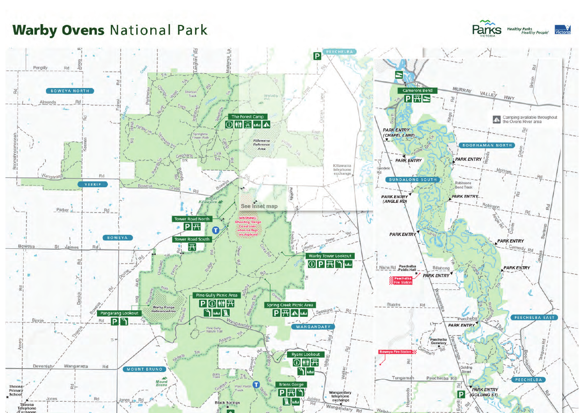**Warby Ovens National Park** 



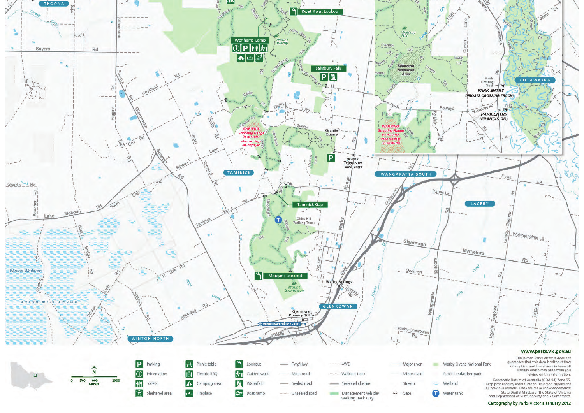